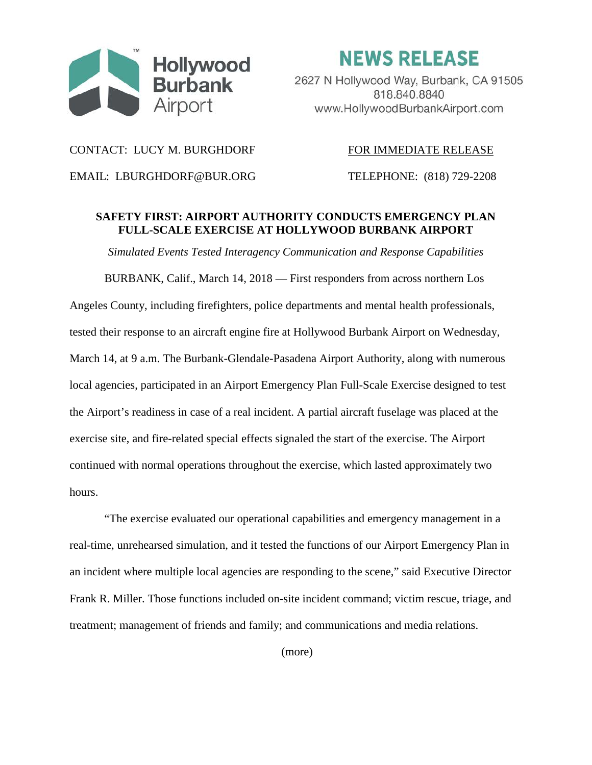

**NEWS RELEASE** 

2627 N Hollywood Way, Burbank, CA 91505 818.840.8840 www.HollywoodBurbankAirport.com

## CONTACT: LUCY M. BURGHDORF FOR IMMEDIATE RELEASE

EMAIL: LBURGHDORF@BUR.ORG TELEPHONE: (818) 729-2208

## **SAFETY FIRST: AIRPORT AUTHORITY CONDUCTS EMERGENCY PLAN FULL-SCALE EXERCISE AT HOLLYWOOD BURBANK AIRPORT**

*Simulated Events Tested Interagency Communication and Response Capabilities*

BURBANK, Calif., March 14, 2018 — First responders from across northern Los Angeles County, including firefighters, police departments and mental health professionals, tested their response to an aircraft engine fire at Hollywood Burbank Airport on Wednesday, March 14, at 9 a.m. The Burbank-Glendale-Pasadena Airport Authority, along with numerous local agencies, participated in an Airport Emergency Plan Full-Scale Exercise designed to test the Airport's readiness in case of a real incident. A partial aircraft fuselage was placed at the exercise site, and fire-related special effects signaled the start of the exercise. The Airport continued with normal operations throughout the exercise, which lasted approximately two hours.

"The exercise evaluated our operational capabilities and emergency management in a real-time, unrehearsed simulation, and it tested the functions of our Airport Emergency Plan in an incident where multiple local agencies are responding to the scene," said Executive Director Frank R. Miller. Those functions included on-site incident command; victim rescue, triage, and treatment; management of friends and family; and communications and media relations.